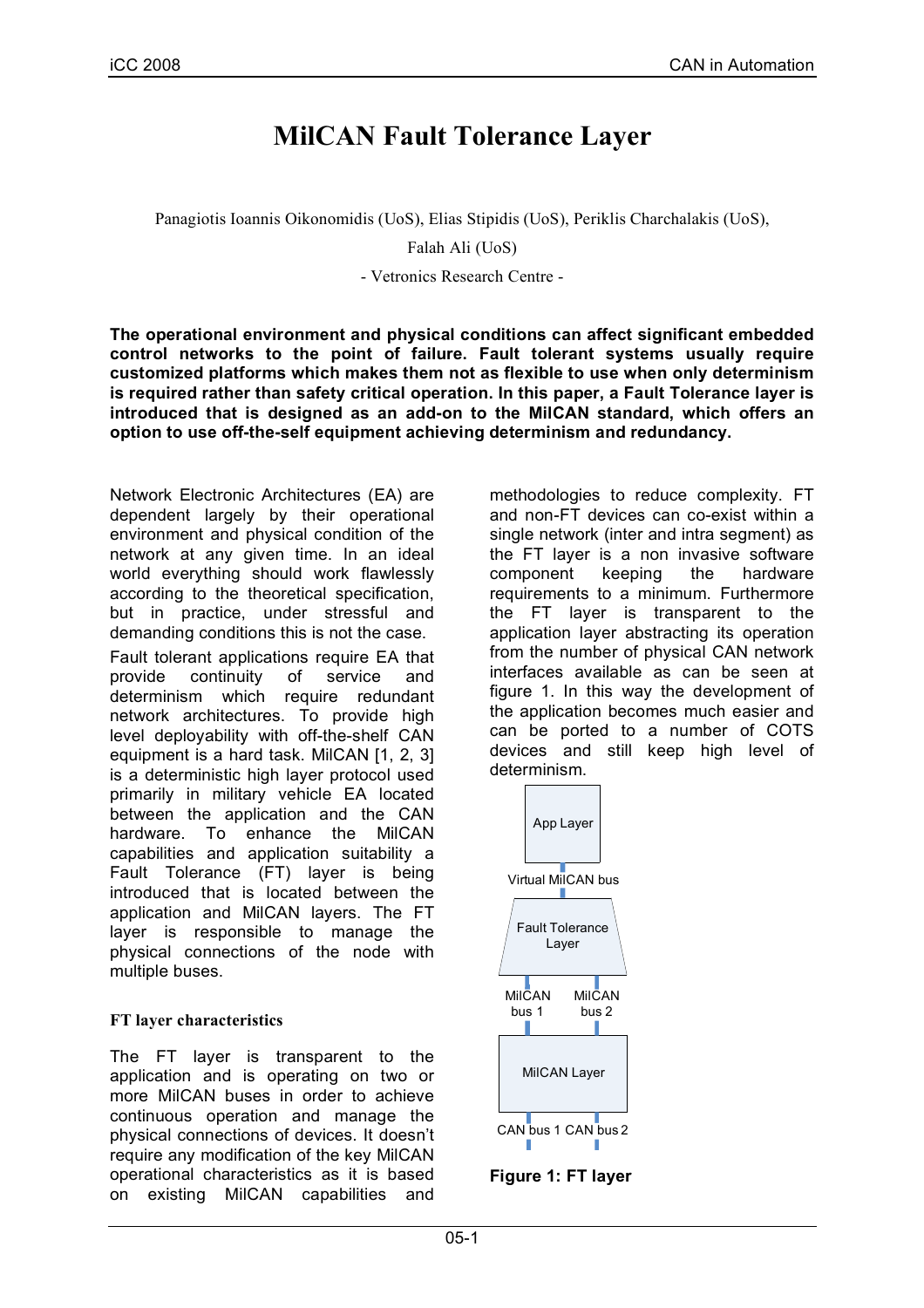# **MilCAN Fault Tolerance Layer**

Panagiotis Ioannis Oikonomidis (UoS), Elias Stipidis (UoS), Periklis Charchalakis (UoS),

Falah Ali (UoS)

- Vetronics Research Centre -

**The operational environment and physical conditions can affect significant embedded control networks to the point of failure. Fault tolerant systems usually require customized platforms which makes them not as flexible to use when only determinism is required rather than safety critical operation. In this paper, a Fault Tolerance layer is introduced that is designed as an add-on to the MilCAN standard, which offers an option to use off-the-self equipment achieving determinism and redundancy.**

Network Electronic Architectures (EA) are dependent largely by their operational environment and physical condition of the network at any given time. In an ideal world everything should work flawlessly according to the theoretical specification, but in practice, under stressful and demanding conditions this is not the case.

Fault tolerant applications require EA that provide continuity of service and determinism which require redundant network architectures. To provide high level deployability with off-the-shelf CAN equipment is a hard task. MilCAN [1, 2, 3] is a deterministic high layer protocol used primarily in military vehicle EA located between the application and the CAN hardware. To enhance the MilCAN capabilities and application suitability a Fault Tolerance (FT) layer is being introduced that is located between the application and MilCAN layers. The FT layer is responsible to manage the physical connections of the node with multiple buses.

### **FT layer characteristics**

The FT layer is transparent to the application and is operating on two or more MilCAN buses in order to achieve continuous operation and manage the physical connections of devices. It doesn't require any modification of the key MilCAN operational characteristics as it is based on existing MilCAN capabilities and methodologies to reduce complexity. FT and non-FT devices can co-exist within a single network (inter and intra segment) as the FT layer is a non invasive software component keeping the hardware requirements to a minimum. Furthermore the FT layer is transparent to the application layer abstracting its operation from the number of physical CAN network interfaces available as can be seen at figure 1. In this way the development of the application becomes much easier and can be ported to a number of COTS devices and still keep high level of determinism.



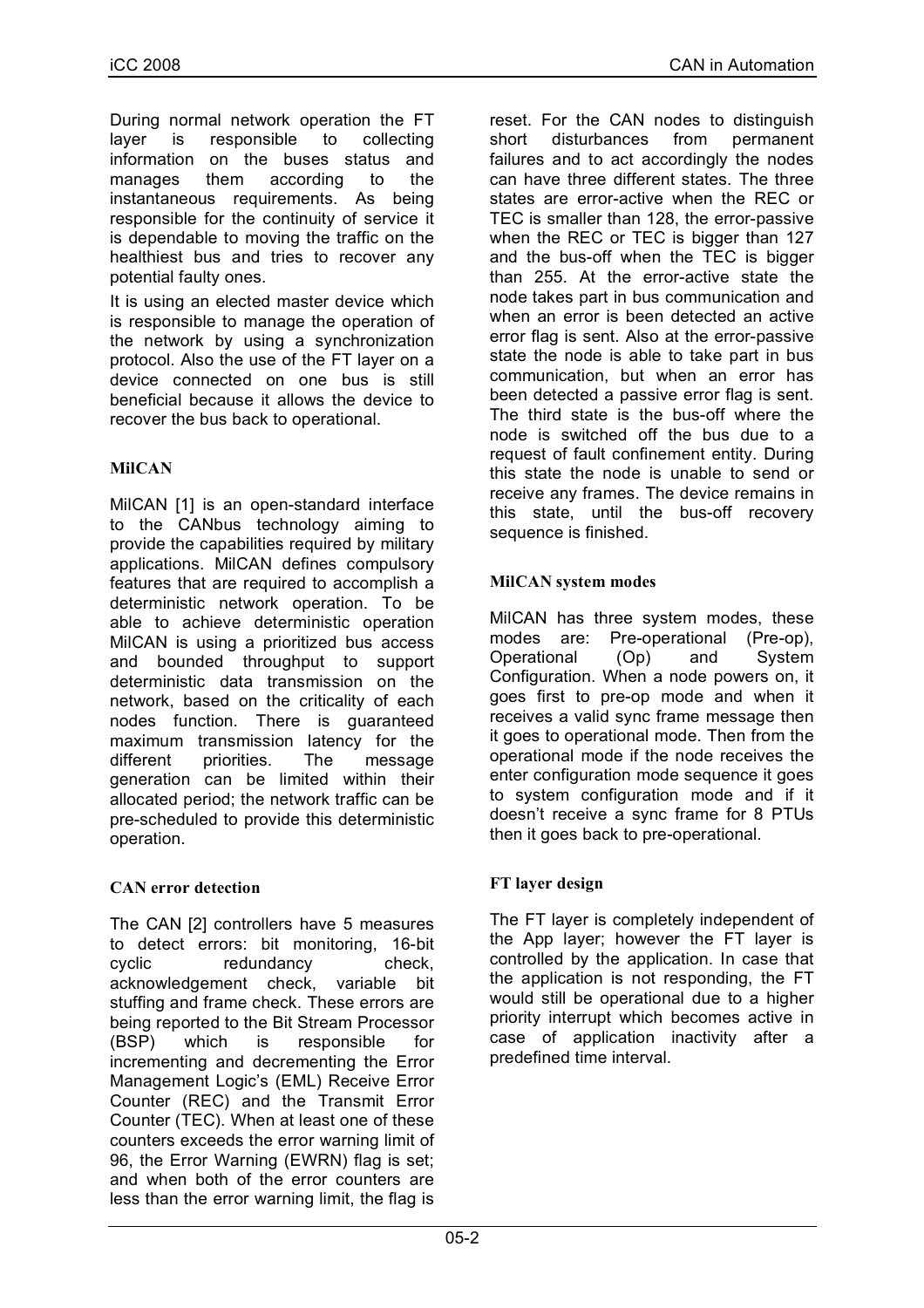During normal network operation the FT layer is responsible to collecting information on the buses status and manages them according to the instantaneous requirements. As being responsible for the continuity of service it is dependable to moving the traffic on the healthiest bus and tries to recover any potential faulty ones.

It is using an elected master device which is responsible to manage the operation of the network by using a synchronization protocol. Also the use of the FT layer on a device connected on one bus is still beneficial because it allows the device to recover the bus back to operational.

#### **MilCAN**

MilCAN [1] is an open-standard interface to the CANbus technology aiming to provide the capabilities required by military applications. MilCAN defines compulsory features that are required to accomplish a deterministic network operation. To be able to achieve deterministic operation MilCAN is using a prioritized bus access and bounded throughput to support deterministic data transmission on the network, based on the criticality of each nodes function. There is guaranteed maximum transmission latency for the different priorities. The message generation can be limited within their allocated period; the network traffic can be pre-scheduled to provide this deterministic operation.

### **CAN error detection**

The CAN [2] controllers have 5 measures to detect errors: bit monitoring, 16-bit cyclic redundancy check, acknowledgement check, variable bit stuffing and frame check. These errors are being reported to the Bit Stream Processor (BSP) which is responsible for incrementing and decrementing the Error Management Logic's (EML) Receive Error Counter (REC) and the Transmit Error Counter (TEC). When at least one of these counters exceeds the error warning limit of 96, the Error Warning (EWRN) flag is set; and when both of the error counters are less than the error warning limit, the flag is

reset. For the CAN nodes to distinguish short disturbances from permanent failures and to act accordingly the nodes can have three different states. The three states are error-active when the REC or TEC is smaller than 128, the error-passive when the REC or TEC is bigger than 127 and the bus-off when the TEC is bigger than 255. At the error-active state the node takes part in bus communication and when an error is been detected an active error flag is sent. Also at the error-passive state the node is able to take part in bus communication, but when an error has been detected a passive error flag is sent. The third state is the bus-off where the node is switched off the bus due to a request of fault confinement entity. During this state the node is unable to send or receive any frames. The device remains in this state, until the bus-off recovery sequence is finished.

### **MilCAN system modes**

MilCAN has three system modes, these modes are: Pre-operational (Pre-op), Operational (Op) and System Configuration. When a node powers on, it goes first to pre-op mode and when it receives a valid sync frame message then it goes to operational mode. Then from the operational mode if the node receives the enter configuration mode sequence it goes to system configuration mode and if it doesn't receive a sync frame for 8 PTUs then it goes back to pre-operational.

### **FT layer design**

The FT layer is completely independent of the App layer; however the FT layer is controlled by the application. In case that the application is not responding, the FT would still be operational due to a higher priority interrupt which becomes active in case of application inactivity after a predefined time interval.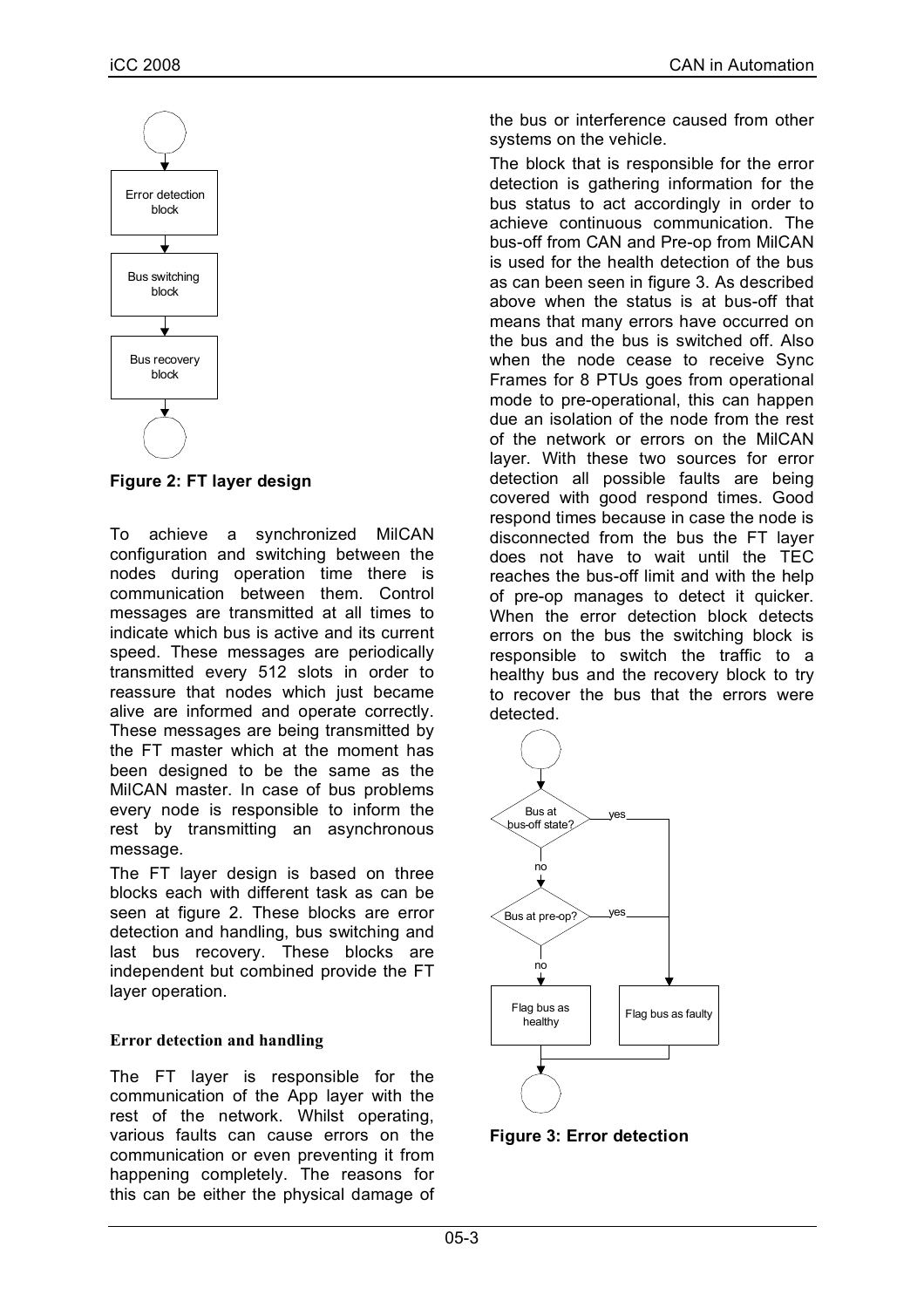

**Figure 2: FT layer design**

To achieve a synchronized MilCAN configuration and switching between the nodes during operation time there is communication between them. Control messages are transmitted at all times to indicate which bus is active and its current speed. These messages are periodically transmitted every 512 slots in order to reassure that nodes which just became alive are informed and operate correctly. These messages are being transmitted by the FT master which at the moment has been designed to be the same as the MilCAN master. In case of bus problems every node is responsible to inform the rest by transmitting an asynchronous message.

The FT layer design is based on three blocks each with different task as can be seen at figure 2. These blocks are error detection and handling, bus switching and last bus recovery. These blocks are independent but combined provide the FT layer operation.

### **Error detection and handling**

The FT layer is responsible for the communication of the App layer with the rest of the network. Whilst operating, various faults can cause errors on the communication or even preventing it from happening completely. The reasons for this can be either the physical damage of the bus or interference caused from other systems on the vehicle.

The block that is responsible for the error detection is gathering information for the bus status to act accordingly in order to achieve continuous communication. The bus-off from CAN and Pre-op from MilCAN is used for the health detection of the bus as can been seen in figure 3. As described above when the status is at bus-off that means that many errors have occurred on the bus and the bus is switched off. Also when the node cease to receive Sync Frames for 8 PTUs goes from operational mode to pre-operational, this can happen due an isolation of the node from the rest of the network or errors on the MilCAN layer. With these two sources for error detection all possible faults are being covered with good respond times. Good respond times because in case the node is disconnected from the bus the FT layer does not have to wait until the TEC reaches the bus-off limit and with the help of pre-op manages to detect it quicker. When the error detection block detects errors on the bus the switching block is responsible to switch the traffic to a healthy bus and the recovery block to try to recover the bus that the errors were detected.



**Figure 3: Error detection**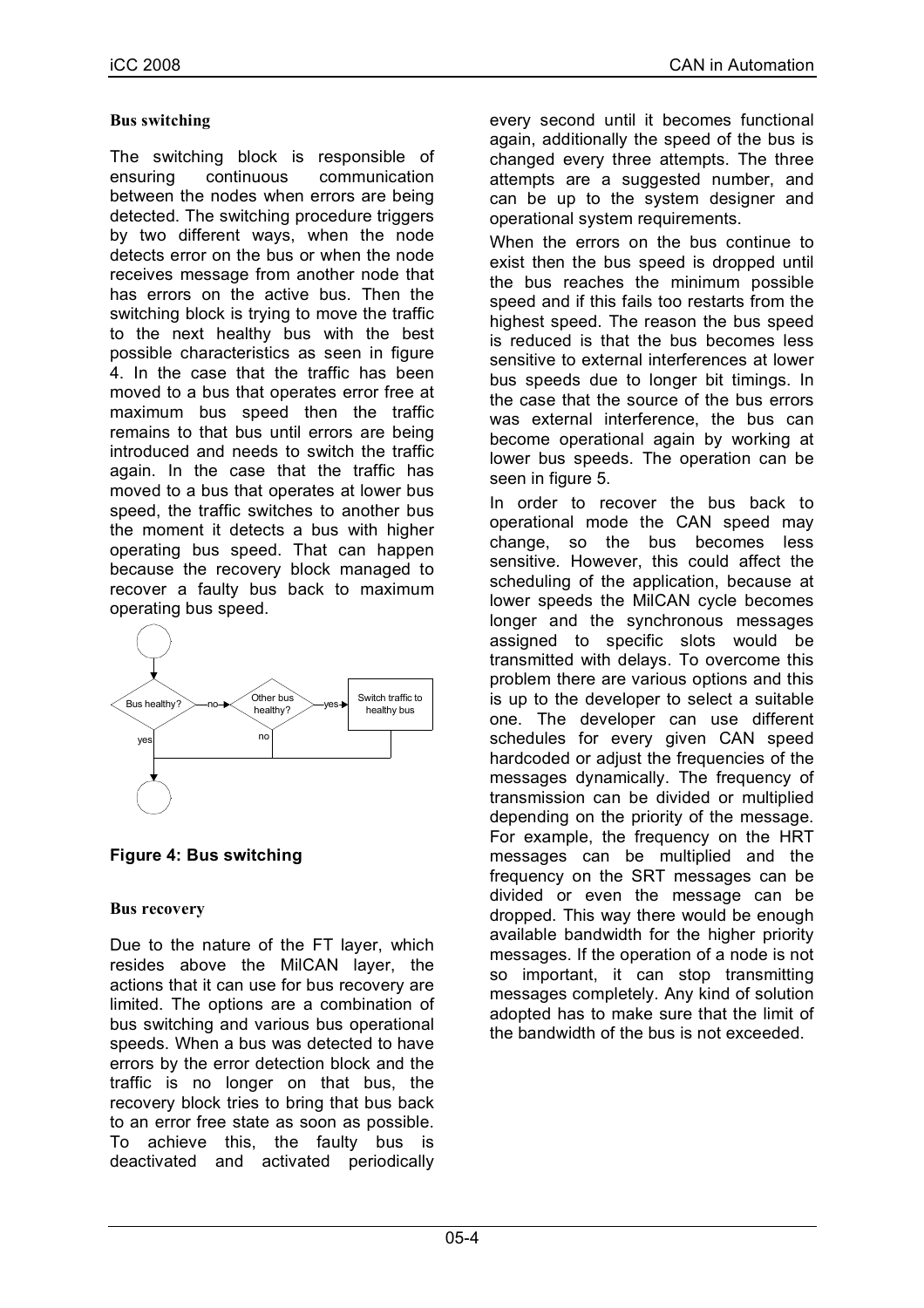#### **Bus switching**

The switching block is responsible of ensuring continuous communication between the nodes when errors are being detected. The switching procedure triggers by two different ways, when the node detects error on the bus or when the node receives message from another node that has errors on the active bus. Then the switching block is trying to move the traffic to the next healthy bus with the best possible characteristics as seen in figure 4. In the case that the traffic has been moved to a bus that operates error free at maximum bus speed then the traffic remains to that bus until errors are being introduced and needs to switch the traffic again. In the case that the traffic has moved to a bus that operates at lower bus speed, the traffic switches to another bus the moment it detects a bus with higher operating bus speed. That can happen because the recovery block managed to recover a faulty bus back to maximum operating bus speed.



**Figure 4: Bus switching**

### **Bus recovery**

Due to the nature of the FT layer, which resides above the MilCAN layer, the actions that it can use for bus recovery are limited. The options are a combination of bus switching and various bus operational speeds. When a bus was detected to have errors by the error detection block and the traffic is no longer on that bus, the recovery block tries to bring that bus back to an error free state as soon as possible. To achieve this, the faulty bus is deactivated and activated periodically every second until it becomes functional again, additionally the speed of the bus is changed every three attempts. The three attempts are a suggested number, and can be up to the system designer and operational system requirements.

When the errors on the bus continue to exist then the bus speed is dropped until the bus reaches the minimum possible speed and if this fails too restarts from the highest speed. The reason the bus speed is reduced is that the bus becomes less sensitive to external interferences at lower bus speeds due to longer bit timings. In the case that the source of the bus errors was external interference, the bus can become operational again by working at lower bus speeds. The operation can be seen in figure 5.

In order to recover the bus back to operational mode the CAN speed may change, so the bus becomes less sensitive. However, this could affect the scheduling of the application, because at lower speeds the MilCAN cycle becomes longer and the synchronous messages assigned to specific slots would be transmitted with delays. To overcome this problem there are various options and this is up to the developer to select a suitable one. The developer can use different schedules for every given CAN speed hardcoded or adjust the frequencies of the messages dynamically. The frequency of transmission can be divided or multiplied depending on the priority of the message. For example, the frequency on the HRT messages can be multiplied and the frequency on the SRT messages can be divided or even the message can be dropped. This way there would be enough available bandwidth for the higher priority messages. If the operation of a node is not so important, it can stop transmitting messages completely. Any kind of solution adopted has to make sure that the limit of the bandwidth of the bus is not exceeded.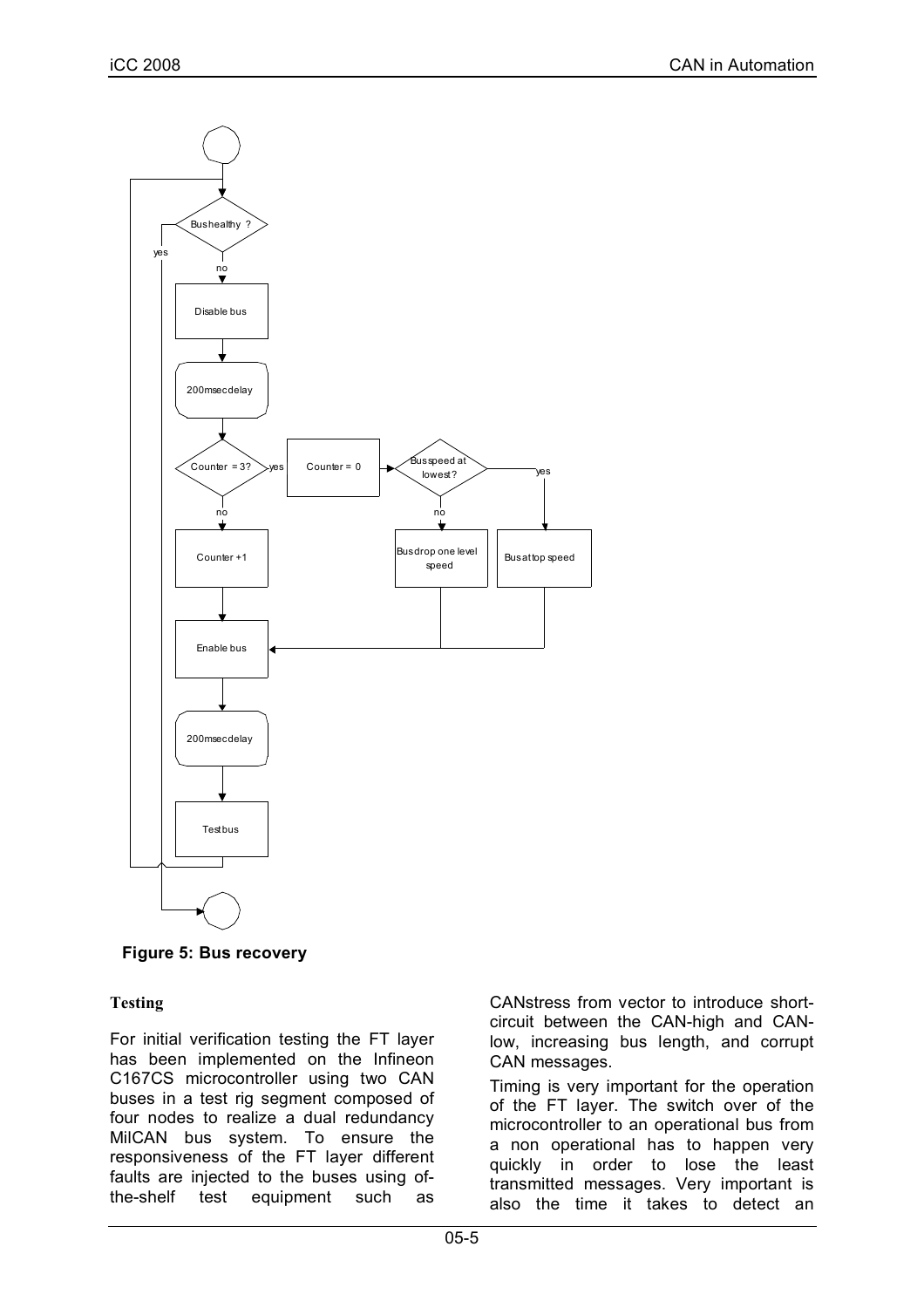

**Figure 5: Bus recovery**

### **Testing**

For initial verification testing the FT layer has been implemented on the Infineon C167CS microcontroller using two CAN buses in a test rig segment composed of four nodes to realize a dual redundancy MilCAN bus system. To ensure the responsiveness of the FT layer different faults are injected to the buses using ofthe-shelf test equipment such as CANstress from vector to introduce shortcircuit between the CAN-high and CANlow, increasing bus length, and corrupt CAN messages.

Timing is very important for the operation of the FT layer. The switch over of the microcontroller to an operational bus from a non operational has to happen very quickly in order to lose the least transmitted messages. Very important is also the time it takes to detect an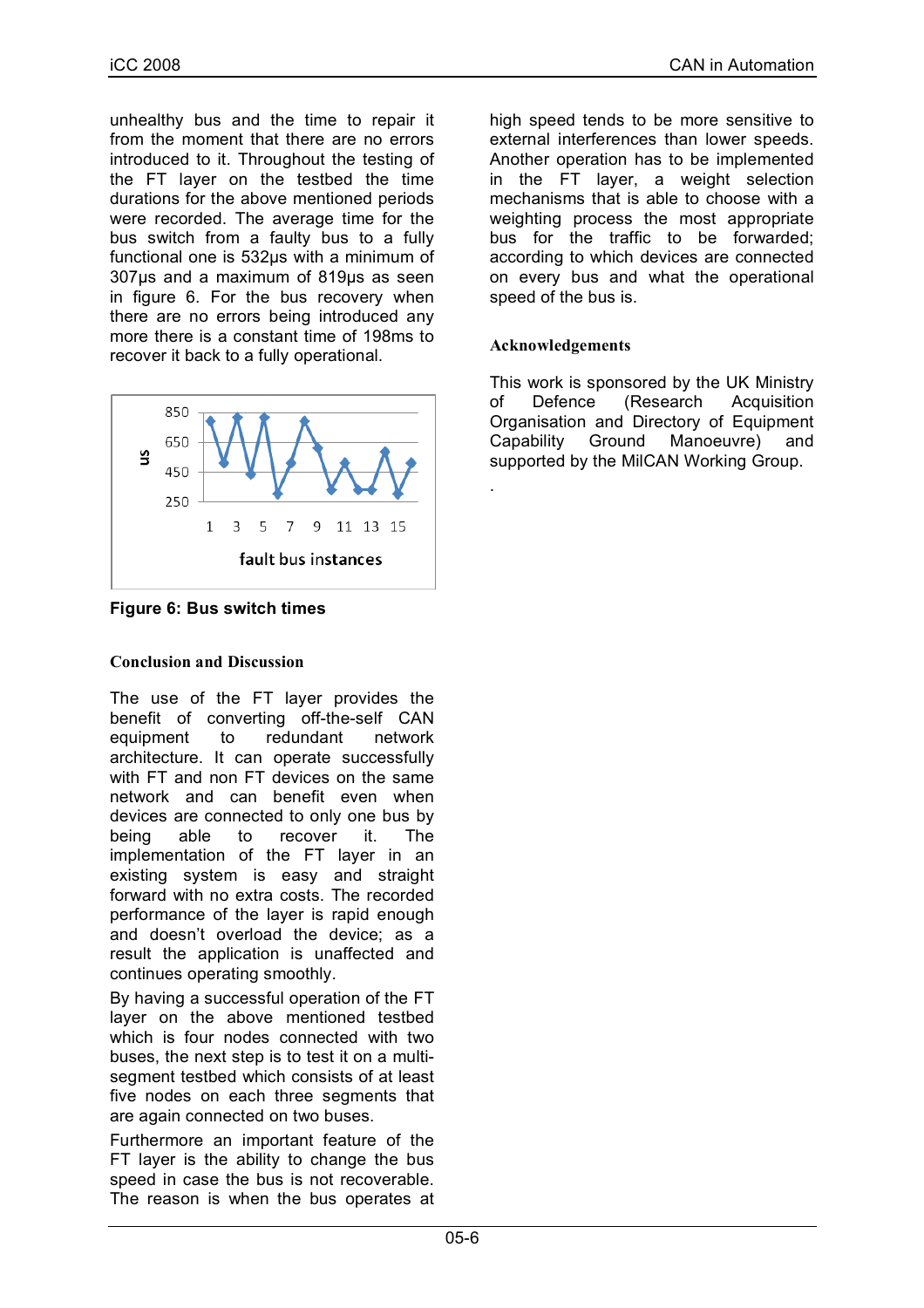unhealthy bus and the time to repair it from the moment that there are no errors introduced to it. Throughout the testing of the FT layer on the testbed the time durations for the above mentioned periods were recorded. The average time for the bus switch from a faulty bus to a fully functional one is 532µs with a minimum of 307µs and a maximum of 819µs as seen in figure 6. For the bus recovery when there are no errors being introduced any more there is a constant time of 198ms to recover it back to a fully operational.



**Figure 6: Bus switch times**

#### **Conclusion and Discussion**

The use of the FT layer provides the benefit of converting off-the-self CAN equipment to redundant network architecture. It can operate successfully with FT and non FT devices on the same network and can benefit even when devices are connected to only one bus by being able to recover it. The implementation of the FT layer in an existing system is easy and straight forward with no extra costs. The recorded performance of the layer is rapid enough and doesn't overload the device; as a result the application is unaffected and continues operating smoothly.

By having a successful operation of the FT layer on the above mentioned testbed which is four nodes connected with two buses, the next step is to test it on a multisegment testbed which consists of at least five nodes on each three segments that are again connected on two buses.

Furthermore an important feature of the FT layer is the ability to change the bus speed in case the bus is not recoverable. The reason is when the bus operates at high speed tends to be more sensitive to external interferences than lower speeds. Another operation has to be implemented in the FT layer, a weight selection mechanisms that is able to choose with a weighting process the most appropriate bus for the traffic to be forwarded; according to which devices are connected on every bus and what the operational speed of the bus is.

#### **Acknowledgements**

.

This work is sponsored by the UK Ministry of Defence (Research Acquisition Organisation and Directory of Equipment Capability Ground Manoeuvre) and supported by the MilCAN Working Group.